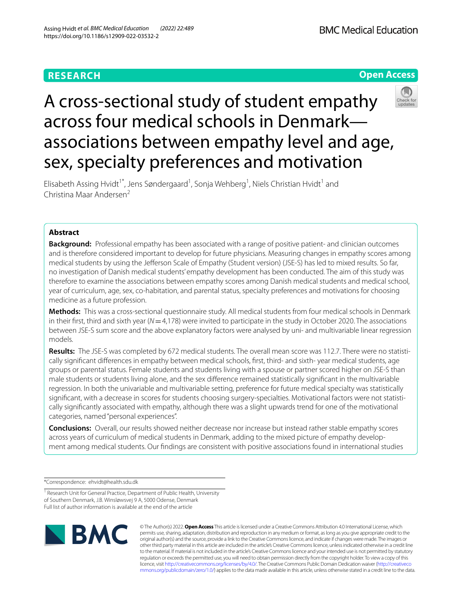# **RESEARCH**

**BMC Medical Education** 





# A cross-sectional study of student empathy across four medical schools in Denmark associations between empathy level and age, sex, specialty preferences and motivation

Elisabeth Assing Hvidt<sup>1\*</sup>, Jens Søndergaard<sup>1</sup>, Sonja Wehberg<sup>1</sup>, Niels Christian Hvidt<sup>1</sup> and Christina Maar Andersen<sup>2</sup>

## **Abstract**

**Background:** Professional empathy has been associated with a range of positive patient- and clinician outcomes and is therefore considered important to develop for future physicians. Measuring changes in empathy scores among medical students by using the Jeferson Scale of Empathy (Student version) (JSE-S) has led to mixed results. So far, no investigation of Danish medical students' empathy development has been conducted. The aim of this study was therefore to examine the associations between empathy scores among Danish medical students and medical school, year of curriculum, age, sex, co-habitation, and parental status, specialty preferences and motivations for choosing medicine as a future profession.

**Methods:** This was a cross-sectional questionnaire study. All medical students from four medical schools in Denmark in their first, third and sixth year  $(N=4,178)$  were invited to participate in the study in October 2020. The associations between JSE-S sum score and the above explanatory factors were analysed by uni- and multivariable linear regression models.

**Results:** The JSE-S was completed by 672 medical students. The overall mean score was 112.7. There were no statistically signifcant diferences in empathy between medical schools, frst, third- and sixth- year medical students, age groups or parental status. Female students and students living with a spouse or partner scored higher on JSE-S than male students or students living alone, and the sex diference remained statistically signifcant in the multivariable regression. In both the univariable and multivariable setting, preference for future medical specialty was statistically signifcant, with a decrease in scores for students choosing surgery-specialties. Motivational factors were not statistically signifcantly associated with empathy, although there was a slight upwards trend for one of the motivational categories, named "personal experiences".

**Conclusions:** Overall, our results showed neither decrease nor increase but instead rather stable empathy scores across years of curriculum of medical students in Denmark, adding to the mixed picture of empathy development among medical students. Our fndings are consistent with positive associations found in international studies

\*Correspondence: ehvidt@health.sdu.dk

<sup>1</sup> Research Unit for General Practice, Department of Public Health, University of Southern Denmark, J.B. Winsløwsvej 9 A, 5000 Odense, Denmark Full list of author information is available at the end of the article



© The Author(s) 2022. **Open Access** This article is licensed under a Creative Commons Attribution 4.0 International License, which permits use, sharing, adaptation, distribution and reproduction in any medium or format, as long as you give appropriate credit to the original author(s) and the source, provide a link to the Creative Commons licence, and indicate if changes were made. The images or other third party material in this article are included in the article's Creative Commons licence, unless indicated otherwise in a credit line to the material. If material is not included in the article's Creative Commons licence and your intended use is not permitted by statutory regulation or exceeds the permitted use, you will need to obtain permission directly from the copyright holder. To view a copy of this licence, visit [http://creativecommons.org/licenses/by/4.0/.](http://creativecommons.org/licenses/by/4.0/) The Creative Commons Public Domain Dedication waiver ([http://creativeco](http://creativecommons.org/publicdomain/zero/1.0/) [mmons.org/publicdomain/zero/1.0/](http://creativecommons.org/publicdomain/zero/1.0/)) applies to the data made available in this article, unless otherwise stated in a credit line to the data.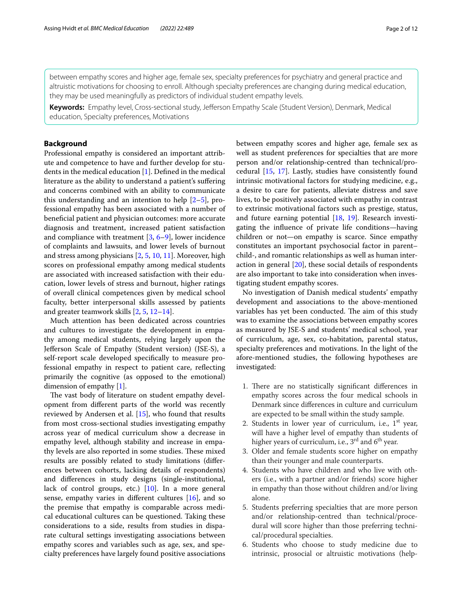between empathy scores and higher age, female sex, specialty preferences for psychiatry and general practice and altruistic motivations for choosing to enroll. Although specialty preferences are changing during medical education, they may be used meaningfully as predictors of individual student empathy levels.

**Keywords:** Empathy level, Cross-sectional study, Jeferson Empathy Scale (Student Version), Denmark, Medical education, Specialty preferences, Motivations

## **Background**

Professional empathy is considered an important attribute and competence to have and further develop for students in the medical education [\[1](#page-10-0)]. Defned in the medical literature as the ability to understand a patient's sufering and concerns combined with an ability to communicate this understanding and an intention to help [\[2–](#page-11-0)[5\]](#page-11-1), professional empathy has been associated with a number of benefcial patient and physician outcomes: more accurate diagnosis and treatment, increased patient satisfaction and compliance with treatment  $[3, 6-9]$  $[3, 6-9]$  $[3, 6-9]$  $[3, 6-9]$ , lower incidence of complaints and lawsuits, and lower levels of burnout and stress among physicians [\[2](#page-11-0), [5,](#page-11-1) [10](#page-11-5), [11](#page-11-6)]. Moreover, high scores on professional empathy among medical students are associated with increased satisfaction with their education, lower levels of stress and burnout, higher ratings of overall clinical competences given by medical school faculty, better interpersonal skills assessed by patients and greater teamwork skills [\[2](#page-11-0), [5,](#page-11-1) [12](#page-11-7)[–14\]](#page-11-8).

Much attention has been dedicated across countries and cultures to investigate the development in empathy among medical students, relying largely upon the Jeferson Scale of Empathy (Student version) (JSE-S), a self-report scale developed specifcally to measure professional empathy in respect to patient care, refecting primarily the cognitive (as opposed to the emotional) dimension of empathy [\[1](#page-10-0)].

The vast body of literature on student empathy development from diferent parts of the world was recently reviewed by Andersen et al. [\[15](#page-11-9)], who found that results from most cross-sectional studies investigating empathy across year of medical curriculum show a decrease in empathy level, although stability and increase in empathy levels are also reported in some studies. These mixed results are possibly related to study limitations (diferences between cohorts, lacking details of respondents) and diferences in study designs (single-institutional, lack of control groups, etc.) [\[10\]](#page-11-5). In a more general sense, empathy varies in diferent cultures [\[16\]](#page-11-10), and so the premise that empathy is comparable across medical educational cultures can be questioned. Taking these considerations to a side, results from studies in disparate cultural settings investigating associations between empathy scores and variables such as age, sex, and specialty preferences have largely found positive associations between empathy scores and higher age, female sex as well as student preferences for specialties that are more person and/or relationship-centred than technical/procedural [\[15,](#page-11-9) [17\]](#page-11-11). Lastly, studies have consistently found intrinsic motivational factors for studying medicine, e.g., a desire to care for patients, alleviate distress and save lives, to be positively associated with empathy in contrast to extrinsic motivational factors such as prestige, status, and future earning potential [[18,](#page-11-12) [19\]](#page-11-13). Research investigating the infuence of private life conditions—having children or not—on empathy is scarce. Since empathy constitutes an important psychosocial factor in parent– child-, and romantic relationships as well as human interaction in general [[20](#page-11-14)], these social details of respondents are also important to take into consideration when investigating student empathy scores.

No investigation of Danish medical students' empathy development and associations to the above-mentioned variables has yet been conducted. The aim of this study was to examine the associations between empathy scores as measured by JSE-S and students' medical school, year of curriculum, age, sex, co-habitation, parental status, specialty preferences and motivations. In the light of the afore-mentioned studies, the following hypotheses are investigated:

- 1. There are no statistically significant differences in empathy scores across the four medical schools in Denmark since diferences in culture and curriculum are expected to be small within the study sample.
- 2. Students in lower year of curriculum, i.e.,  $1<sup>st</sup>$  year, will have a higher level of empathy than students of higher years of curriculum, i.e.,  $3^{rd}$  and  $6^{th}$  year.
- 3. Older and female students score higher on empathy than their younger and male counterparts.
- 4. Students who have children and who live with others (i.e., with a partner and/or friends) score higher in empathy than those without children and/or living alone.
- 5. Students preferring specialties that are more person and/or relationship-centred than technical/procedural will score higher than those preferring technical/procedural specialties.
- 6. Students who choose to study medicine due to intrinsic, prosocial or altruistic motivations (help-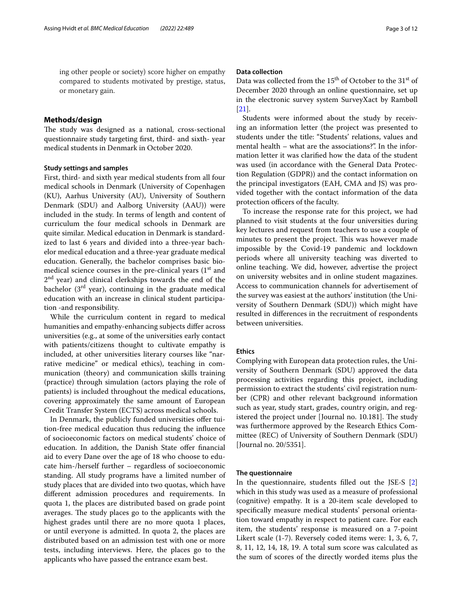ing other people or society) score higher on empathy compared to students motivated by prestige, status, or monetary gain.

## **Methods/design**

The study was designed as a national, cross-sectional questionnaire study targeting frst, third- and sixth- year medical students in Denmark in October 2020.

## **Study settings and samples**

First, third- and sixth year medical students from all four medical schools in Denmark (University of Copenhagen (KU), Aarhus University (AU), University of Southern Denmark (SDU) and Aalborg University (AAU)) were included in the study. In terms of length and content of curriculum the four medical schools in Denmark are quite similar. Medical education in Denmark is standardized to last 6 years and divided into a three-year bachelor medical education and a three-year graduate medical education. Generally, the bachelor comprises basic biomedical science courses in the pre-clinical years  $(1<sup>st</sup>$  and 2<sup>nd</sup> year) and clinical clerkships towards the end of the bachelor  $(3<sup>rd</sup>$  year), continuing in the graduate medical education with an increase in clinical student participation -and responsibility.

While the curriculum content in regard to medical humanities and empathy-enhancing subjects difer across universities (e.g., at some of the universities early contact with patients/citizens thought to cultivate empathy is included, at other universities literary courses like "narrative medicine" or medical ethics), teaching in communication (theory) and communication skills training (practice) through simulation (actors playing the role of patients) is included throughout the medical educations, covering approximately the same amount of European Credit Transfer System (ECTS) across medical schools.

In Denmark, the publicly funded universities offer tuition-free medical education thus reducing the infuence of socioeconomic factors on medical students' choice of education. In addition, the Danish State offer financial aid to every Dane over the age of 18 who choose to educate him-/herself further – regardless of socioeconomic standing. All study programs have a limited number of study places that are divided into two quotas, which have diferent admission procedures and requirements. In quota 1, the places are distributed based on grade point averages. The study places go to the applicants with the highest grades until there are no more quota 1 places, or until everyone is admitted. In quota 2, the places are distributed based on an admission test with one or more tests, including interviews. Here, the places go to the applicants who have passed the entrance exam best.

## **Data collection**

Data was collected from the  $15<sup>th</sup>$  of October to the  $31<sup>st</sup>$  of December 2020 through an online questionnaire, set up in the electronic survey system SurveyXact by Rambøll [[21\]](#page-11-15).

Students were informed about the study by receiving an information letter (the project was presented to students under the title: "Students' relations, values and mental health – what are the associations?". In the information letter it was clarifed how the data of the student was used (in accordance with the General Data Protection Regulation (GDPR)) and the contact information on the principal investigators (EAH, CMA and JS) was provided together with the contact information of the data protection officers of the faculty.

To increase the response rate for this project, we had planned to visit students at the four universities during key lectures and request from teachers to use a couple of minutes to present the project. This was however made impossible by the Covid-19 pandemic and lockdown periods where all university teaching was diverted to online teaching. We did, however, advertise the project on university websites and in online student magazines. Access to communication channels for advertisement of the survey was easiest at the authors' institution (the University of Southern Denmark (SDU)) which might have resulted in diferences in the recruitment of respondents between universities.

## **Ethics**

Complying with European data protection rules, the University of Southern Denmark (SDU) approved the data processing activities regarding this project, including permission to extract the students' civil registration number (CPR) and other relevant background information such as year, study start, grades, country origin, and registered the project under [Journal no. 10.181]. The study was furthermore approved by the Research Ethics Committee (REC) of University of Southern Denmark (SDU) [Journal no. 20/5351].

## **The questionnaire**

In the questionnaire, students flled out the JSE-S [\[2](#page-11-0)] which in this study was used as a measure of professional (cognitive) empathy. It is a 20-item scale developed to specifcally measure medical students' personal orientation toward empathy in respect to patient care. For each item, the students' response is measured on a 7-point Likert scale (1-7). Reversely coded items were: 1, 3, 6, 7, 8, 11, 12, 14, 18, 19. A total sum score was calculated as the sum of scores of the directly worded items plus the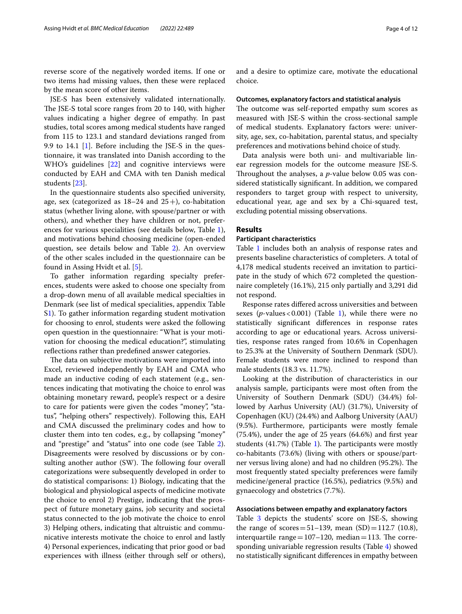reverse score of the negatively worded items. If one or two items had missing values, then these were replaced by the mean score of other items.

JSE-S has been extensively validated internationally. The JSE-S total score ranges from 20 to 140, with higher values indicating a higher degree of empathy. In past studies, total scores among medical students have ranged from 115 to 123.1 and standard deviations ranged from 9.9 to 14.1 [\[1\]](#page-10-0). Before including the JSE-S in the questionnaire, it was translated into Danish according to the WHO's guidelines [\[22](#page-11-16)] and cognitive interviews were conducted by EAH and CMA with ten Danish medical students [[23\]](#page-11-17).

In the questionnaire students also specifed university, age, sex (categorized as  $18-24$  and  $25+$ ), co-habitation status (whether living alone, with spouse/partner or with others), and whether they have children or not, preferences for various specialities (see details below, Table [1](#page-4-0)), and motivations behind choosing medicine (open-ended question, see details below and Table [2\)](#page-5-0). An overview of the other scales included in the questionnaire can be found in Assing Hvidt et al. [[5\]](#page-11-1).

To gather information regarding specialty preferences, students were asked to choose one specialty from a drop-down menu of all available medical specialties in Denmark (see list of medical specialities, appendix Table S[1\)](#page-4-0). To gather information regarding student motivation for choosing to enrol, students were asked the following open question in the questionnaire: "What is your motivation for choosing the medical education?", stimulating refections rather than predefned answer categories.

The data on subjective motivations were imported into Excel, reviewed independently by EAH and CMA who made an inductive coding of each statement (e.g., sentences indicating that motivating the choice to enrol was obtaining monetary reward, people's respect or a desire to care for patients were given the codes "money", "status", "helping others" respectively). Following this, EAH and CMA discussed the preliminary codes and how to cluster them into ten codes, e.g., by collapsing "money" and "prestige" and "status" into one code (see Table [2](#page-5-0)). Disagreements were resolved by discussions or by consulting another author (SW). The following four overall categorizations were subsequently developed in order to do statistical comparisons: 1) Biology, indicating that the biological and physiological aspects of medicine motivate the choice to enrol 2) Prestige, indicating that the prospect of future monetary gains, job security and societal status connected to the job motivate the choice to enrol 3) Helping others, indicating that altruistic and communicative interests motivate the choice to enrol and lastly 4) Personal experiences, indicating that prior good or bad experiences with illness (either through self or others), and a desire to optimize care, motivate the educational choice.

#### **Outcomes, explanatory factors and statistical analysis**

The outcome was self-reported empathy sum scores as measured with JSE-S within the cross-sectional sample of medical students. Explanatory factors were: university, age, sex, co-habitation, parental status, and specialty preferences and motivations behind choice of study.

Data analysis were both uni- and multivariable linear regression models for the outcome measure JSE-S. Throughout the analyses, a *p*-value below 0.05 was considered statistically signifcant. In addition, we compared responders to target group with respect to university, educational year, age and sex by a Chi-squared test, excluding potential missing observations.

## **Results**

## **Participant characteristics**

Table [1](#page-4-0) includes both an analysis of response rates and presents baseline characteristics of completers. A total of 4,178 medical students received an invitation to participate in the study of which 672 completed the questionnaire completely (16.1%), 215 only partially and 3,291 did not respond.

Response rates difered across universities and between sexes  $(p$ -values < 0.00[1\)](#page-4-0) (Table 1), while there were no statistically signifcant diferences in response rates according to age or educational years. Across universities, response rates ranged from 10.6% in Copenhagen to 25.3% at the University of Southern Denmark (SDU). Female students were more inclined to respond than male students (18.3 vs. 11.7%).

Looking at the distribution of characteristics in our analysis sample, participants were most often from the University of Southern Denmark (SDU) (34.4%) followed by Aarhus University (AU) (31.7%), University of Copenhagen (KU) (24.4%) and Aalborg University (AAU) (9.5%). Furthermore, participants were mostly female (75.4%), under the age of 25 years (64.6%) and frst year students  $(41.7%)$  $(41.7%)$  $(41.7%)$  (Table 1). The participants were mostly co-habitants (73.6%) (living with others or spouse/partner versus living alone) and had no children (95.2%). The most frequently stated specialty preferences were family medicine/general practice (16.5%), pediatrics (9.5%) and gynaecology and obstetrics (7.7%).

## **Associations between empathy and explanatory factors**

Table [3](#page-6-0) depicts the students' score on JSE-S, showing the range of scores=51–139, mean  $(SD)$ =112.7 (10.8), interquartile range= $107-120$ , median=113. The corresponding univariable regression results (Table [4\)](#page-8-0) showed no statistically signifcant diferences in empathy between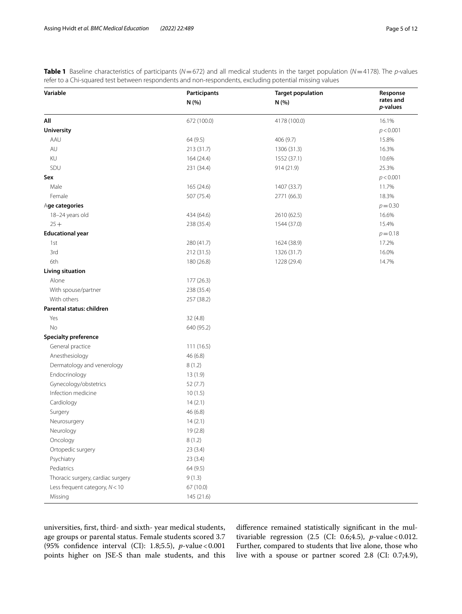<span id="page-4-0"></span>**Table 1** Baseline characteristics of participants (*N*=672) and all medical students in the target population (*N*=4178). The *p*-values refer to a Chi-squared test between respondents and non-respondents, excluding potential missing values

| Variable                          | Participants | <b>Target population</b> | Response              |  |
|-----------------------------------|--------------|--------------------------|-----------------------|--|
|                                   | N (%)        | N (%)                    | rates and<br>p-values |  |
| All                               | 672 (100.0)  | 4178 (100.0)             | 16.1%                 |  |
| <b>University</b>                 |              |                          | p < 0.001             |  |
| AAU                               | 64 (9.5)     | 406 (9.7)                | 15.8%                 |  |
| AU                                | 213 (31.7)   | 1306 (31.3)              | 16.3%                 |  |
| KU                                | 164 (24.4)   | 1552 (37.1)              | 10.6%                 |  |
| SDU                               | 231 (34.4)   | 914 (21.9)               | 25.3%                 |  |
| Sex                               |              |                          | p < 0.001             |  |
| Male                              | 165 (24.6)   | 1407 (33.7)              | 11.7%                 |  |
| Female                            | 507 (75.4)   | 2771 (66.3)              | 18.3%                 |  |
| Age categories                    |              |                          | $p = 0.30$            |  |
| 18-24 years old                   | 434 (64.6)   | 2610 (62.5)              | 16.6%                 |  |
| $25 +$                            | 238 (35.4)   | 1544 (37.0)              | 15.4%                 |  |
| <b>Educational year</b>           |              |                          | $p = 0.18$            |  |
| 1st                               | 280 (41.7)   | 1624 (38.9)              | 17.2%                 |  |
| 3rd                               | 212 (31.5)   | 1326 (31.7)              | 16.0%                 |  |
| 6th                               | 180 (26.8)   | 1228 (29.4)              | 14.7%                 |  |
| <b>Living situation</b>           |              |                          |                       |  |
| Alone                             | 177 (26.3)   |                          |                       |  |
| With spouse/partner               | 238 (35.4)   |                          |                       |  |
| With others                       | 257 (38.2)   |                          |                       |  |
| Parental status: children         |              |                          |                       |  |
| Yes                               | 32 (4.8)     |                          |                       |  |
| No                                | 640 (95.2)   |                          |                       |  |
| <b>Specialty preference</b>       |              |                          |                       |  |
| General practice                  | 111 (16.5)   |                          |                       |  |
| Anesthesiology                    | 46 (6.8)     |                          |                       |  |
| Dermatology and venerology        | 8(1.2)       |                          |                       |  |
| Endocrinology                     | 13(1.9)      |                          |                       |  |
| Gynecology/obstetrics             | 52 (7.7)     |                          |                       |  |
| Infection medicine                | 10(1.5)      |                          |                       |  |
| Cardiology                        | 14(2.1)      |                          |                       |  |
| Surgery                           | 46 (6.8)     |                          |                       |  |
| Neurosurgery                      | 14(2.1)      |                          |                       |  |
| Neurology                         | 19(2.8)      |                          |                       |  |
| Oncology                          | 8(1.2)       |                          |                       |  |
| Ortopedic surgery                 | 23(3.4)      |                          |                       |  |
| Psychiatry                        | 23(3.4)      |                          |                       |  |
| Pediatrics                        | 64 (9.5)     |                          |                       |  |
| Thoracic surgery, cardiac surgery | 9(1.3)       |                          |                       |  |
| Less frequent category, $N < 10$  | 67 (10.0)    |                          |                       |  |
| Missing                           | 145 (21.6)   |                          |                       |  |

universities, frst, third- and sixth- year medical students, age groups or parental status. Female students scored 3.7 (95% confdence interval (CI): 1.8;5.5), *p*-value<0.001 points higher on JSE-S than male students, and this diference remained statistically signifcant in the multivariable regression (2.5 (CI: 0.6;4.5), *p*-value < 0.012. Further, compared to students that live alone, those who live with a spouse or partner scored 2.8 (CI: 0.7;4.9),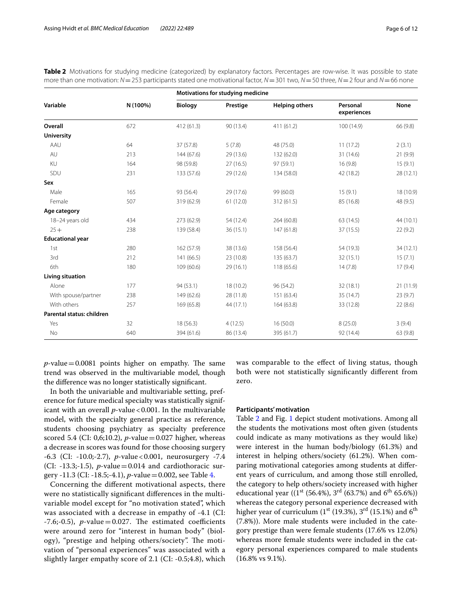| Variable                  | N (100%) | Motivations for studying medicine |           |                       |                         |           |
|---------------------------|----------|-----------------------------------|-----------|-----------------------|-------------------------|-----------|
|                           |          | <b>Biology</b>                    | Prestige  | <b>Helping others</b> | Personal<br>experiences | None      |
| Overall                   | 672      | 412 (61.3)                        | 90 (13.4) | 411 (61.2)            | 100 (14.9)              | 66 (9.8)  |
| <b>University</b>         |          |                                   |           |                       |                         |           |
| AAU                       | 64       | 37 (57.8)                         | 5(7.8)    | 48 (75.0)             | 11(17.2)                | 2(3.1)    |
| AU                        | 213      | 144(67.6)                         | 29(13.6)  | 132 (62.0)            | 31 (14.6)               | 21(9.9)   |
| KU                        | 164      | 98 (59.8)                         | 27(16.5)  | 97 (59.1)             | 16(9.8)                 | 15(9.1)   |
| SDU                       | 231      | 133 (57.6)                        | 29(12.6)  | 134 (58.0)            | 42 (18.2)               | 28 (12.1) |
| Sex                       |          |                                   |           |                       |                         |           |
| Male                      | 165      | 93 (56.4)                         | 29 (17.6) | 99 (60.0)             | 15(9.1)                 | 18 (10.9) |
| Female                    | 507      | 319 (62.9)                        | 61(12.0)  | 312 (61.5)            | 85 (16.8)               | 48 (9.5)  |
| Age category              |          |                                   |           |                       |                         |           |
| 18-24 years old           | 434      | 273 (62.9)                        | 54 (12.4) | 264 (60.8)            | 63 (14.5)               | 44 (10.1) |
| $25 +$                    | 238      | 139 (58.4)                        | 36(15.1)  | 147 (61.8)            | 37 (15.5)               | 22(9.2)   |
| <b>Educational year</b>   |          |                                   |           |                       |                         |           |
| 1st                       | 280      | 162 (57.9)                        | 38 (13.6) | 158 (56.4)            | 54 (19.3)               | 34(12.1)  |
| 3rd                       | 212      | 141 (66.5)                        | 23 (10.8) | 135 (63.7)            | 32 (15.1)               | 15(7.1)   |
| 6th                       | 180      | 109 (60.6)                        | 29(16.1)  | 118 (65.6)            | 14(7.8)                 | 17(9.4)   |
| <b>Living situation</b>   |          |                                   |           |                       |                         |           |
| Alone                     | 177      | 94 (53.1)                         | 18 (10.2) | 96 (54.2)             | 32(18.1)                | 21 (11.9) |
| With spouse/partner       | 238      | 149 (62.6)                        | 28 (11.8) | 151 (63.4)            | 35 (14.7)               | 23(9.7)   |
| With others               | 257      | 169 (65.8)                        | 44 (17.1) | 164 (63.8)            | 33 (12.8)               | 22(8.6)   |
| Parental status: children |          |                                   |           |                       |                         |           |
| Yes                       | 32       | 18 (56.3)                         | 4(12.5)   | 16(50.0)              | 8(25.0)                 | 3(9.4)    |
| No                        | 640      | 394 (61.6)                        | 86 (13.4) | 395 (61.7)            | 92 (14.4)               | 63 (9.8)  |

<span id="page-5-0"></span>**Table 2** Motivations for studying medicine (categorized) by explanatory factors. Percentages are row-wise. It was possible to state more than one motivation: *N*=253 participants stated one motivational factor, *N*=301 two, *N*=50 three, *N*=2 four and *N*=66 none

 $p$ -value = 0.0081 points higher on empathy. The same trend was observed in the multivariable model, though the diference was no longer statistically signifcant.

In both the univariable and multivariable setting, preference for future medical specialty was statistically significant with an overall *p*-value<0.001. In the multivariable model, with the specialty general practice as reference, students choosing psychiatry as specialty preference scored 5.4 (CI: 0,6;10.2), *p*-value=0.027 higher, whereas a decrease in scores was found for those choosing surgery -6.3 (CI: -10.0;-2.7), *p*-value<0.001, neurosurgery -7.4 (CI:  $-13.3;-1.5$ ), *p*-value = 0.014 and cardiothoracic surgery -11.3 (CI: -18.5;-4.1), *p*-value=0.002, see Table [4](#page-8-0).

Concerning the diferent motivational aspects, there were no statistically signifcant diferences in the multivariable model except for "no motivation stated", which was associated with a decrease in empathy of -4.1 (CI:  $-7.6; -0.5$ ), *p*-value = 0.027. The estimated coefficients were around zero for "interest in human body" (biology), "prestige and helping others/society". The motivation of "personal experiences" was associated with a slightly larger empathy score of 2.1 (CI: -0.5;4.8), which was comparable to the efect of living status, though both were not statistically signifcantly diferent from zero.

## **Participants' motivation**

Table [2](#page-5-0) and Fig. [1](#page-9-0) depict student motivations. Among all the students the motivations most often given (students could indicate as many motivations as they would like) were interest in the human body/biology (61.3%) and interest in helping others/society (61.2%). When comparing motivational categories among students at diferent years of curriculum, and among those still enrolled, the category to help others/society increased with higher educational year ((1<sup>st</sup> (56.4%), 3<sup>rd</sup> (63.7%) and 6<sup>th</sup> 65.6%)) whereas the category personal experience decreased with higher year of curriculum ( $1<sup>st</sup>$  (19.3%),  $3<sup>rd</sup>$  (15.1%) and  $6<sup>th</sup>$ (7.8%)). More male students were included in the category prestige than were female students (17.6% vs 12.0%) whereas more female students were included in the category personal experiences compared to male students (16.8% vs 9.1%).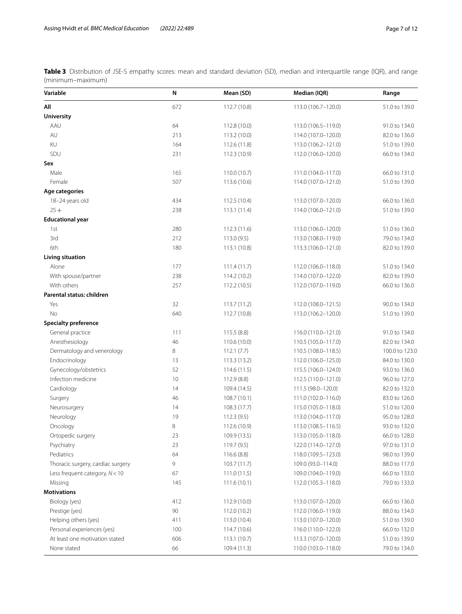<span id="page-6-0"></span>**Table 3** Distribution of JSE-S empathy scores: mean and standard deviation (SD), median and interquartile range (IQR), and range (minimum–maximum)

| Variable                          | N   | Mean (SD)    | Median (IQR)        | Range          |
|-----------------------------------|-----|--------------|---------------------|----------------|
| All                               | 672 | 112.7 (10.8) | 113.0 (106.7-120.0) | 51.0 to 139.0  |
| <b>University</b>                 |     |              |                     |                |
| AAU                               | 64  | 112.8 (10.0) | 113.0 (106.5-119.0) | 91.0 to 134.0  |
| $\mathsf{AU}$                     | 213 | 113.2 (10.0) | 114.0 (107.0-120.0) | 82.0 to 136.0  |
| KU                                | 164 | 112.6 (11.8) | 113.0 (106.2-121.0) | 51.0 to 139.0  |
| SDU                               | 231 | 112.3 (10.9) | 112.0 (106.0-120.0) | 66.0 to 134.0  |
| Sex                               |     |              |                     |                |
| Male                              | 165 | 110.0 (10.7) | 111.0 (104.0-117.0) | 66.0 to 131.0  |
| Female                            | 507 | 113.6 (10.6) | 114.0 (107.0-121.0) | 51.0 to 139.0  |
| Age categories                    |     |              |                     |                |
| 18-24 years old                   | 434 | 112.5 (10.4) | 113.0 (107.0-120.0) | 66.0 to 136.0  |
| $25 +$                            | 238 | 113.1(11.4)  | 114.0 (106.0-121.0) | 51.0 to 139.0  |
| <b>Educational year</b>           |     |              |                     |                |
| 1st                               | 280 | 112.3(11.6)  | 113.0 (106.0-120.0) | 51.0 to 136.0  |
| 3rd                               | 212 | 113.0(9.5)   | 113.0 (108.0-119.0) | 79.0 to 134.0  |
| 6th                               | 180 | 113.1 (10.8) | 113.3 (106.0-121.0) | 82.0 to 139.0  |
| <b>Living situation</b>           |     |              |                     |                |
| Alone                             | 177 | 111.4(11.7)  | 112.0 (106.0-118.0) | 51.0 to 134.0  |
| With spouse/partner               | 238 | 114.2 (10.2) | 114.0 (107.0-122.0) | 82.0 to 139.0  |
| With others                       | 257 | 112.2 (10.5) | 112.0 (107.0-119.0) | 66.0 to 136.0  |
| Parental status: children         |     |              |                     |                |
| Yes                               | 32  | 113.7(11.2)  | 112.0 (108.0-121.5) | 90.0 to 134.0  |
| No                                | 640 | 112.7 (10.8) | 113.0 (106.2-120.0) | 51.0 to 139.0  |
| <b>Specialty preference</b>       |     |              |                     |                |
| General practice                  | 111 | 115.5 (8.8)  | 116.0 (110.0-121.0) | 91.0 to 134.0  |
| Anesthesiology                    | 46  | 110.6 (10.0) | 110.5 (105.0-117.0) | 82.0 to 134.0  |
| Dermatology and venerology        | 8   | 112.1(7.7)   | 110.5 (108.0-118.5) | 100.0 to 123.0 |
| Endocrinology                     | 13  | 113.3 (13.2) | 112.0 (106.0-125.0) | 84.0 to 130.0  |
| Gynecology/obstetrics             | 52  | 114.6 (11.5) | 115.5 (106.0-124.0) | 93.0 to 136.0  |
| Infection medicine                | 10  | 112.9 (8.8)  | 112.5 (110.0-121.0) | 96.0 to 127.0  |
| Cardiology                        | 14  | 109.4 (14.5) | 111.5 (98.0-120.0)  | 82.0 to 132.0  |
| Surgery                           | 46  | 108.7(10.1)  | 111.0 (102.0-116.0) | 83.0 to 126.0  |
| Neurosurgery                      | 14  | 108.3 (17.7) | 115.0 (105.0-118.0) | 51.0 to 120.0  |
| Neurology                         | 19  | 112.3(9.5)   | 113.0 (104.0-117.0) | 95.0 to 128.0  |
| Oncology                          | 8   | 112.6 (10.9) | 113.0 (108.5-116.5) | 93.0 to 132.0  |
| Ortopedic surgery                 | 23  | 109.9 (13.5) | 113.0 (105.0–118.0) | 66.0 to 128.0  |
| Psychiatry                        | 23  | 119.7 (9.5)  | 122.0 (114.0-127.0) | 97.0 to 131.0  |
| Pediatrics                        | 64  | 116.6 (8.8)  | 118.0 (109.5-123.0) | 98.0 to 139.0  |
| Thoracic surgery, cardiac surgery | 9   | 103.7(11.7)  | 109.0 (93.0-114.0)  | 88.0 to 117.0  |
| Less frequent category, $N < 10$  | 67  | 111.0(11.5)  | 109.0 (104.0-119.0) | 66.0 to 133.0  |
| Missing                           | 145 | 111.6(10.1)  | 112.0 (105.3-118.0) | 79.0 to 133.0  |
| <b>Motivations</b>                |     |              |                     |                |
| Biology (yes)                     | 412 | 112.9 (10.0) | 113.0 (107.0-120.0) | 66.0 to 136.0  |
| Prestige (yes)                    | 90  | 112.0 (10.2) | 112.0 (106.0-119.0) | 88.0 to 134.0  |
| Helping others (yes)              | 411 | 113.0 (10.4) | 113.0 (107.0-120.0) | 51.0 to 139.0  |
| Personal experiences (yes)        | 100 | 114.7 (10.6) | 116.0 (110.0-122.0) | 66.0 to 132.0  |
| At least one motivation stated    | 606 | 113.1(10.7)  | 113.3 (107.0-120.0) | 51.0 to 139.0  |
| None stated                       | 66  | 109.4 (11.3) | 110.0 (103.0-118.0) | 79.0 to 134.0  |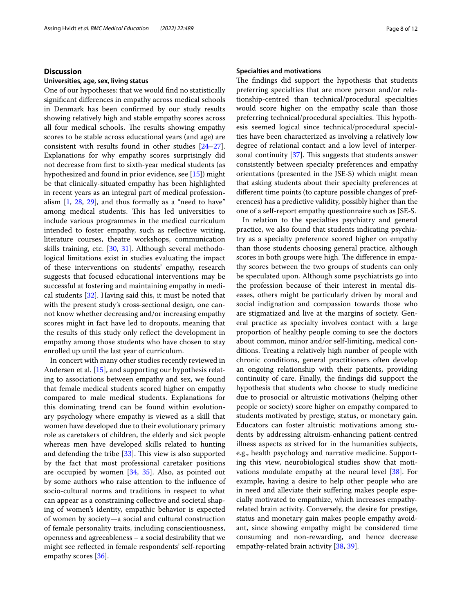## **Discussion**

## **Universities, age, sex, living status**

One of our hypotheses: that we would fnd no statistically signifcant diferences in empathy across medical schools in Denmark has been confrmed by our study results showing relatively high and stable empathy scores across all four medical schools. The results showing empathy scores to be stable across educational years (and age) are consistent with results found in other studies [[24](#page-11-18)[–27](#page-11-19)]. Explanations for why empathy scores surprisingly did not decrease from frst to sixth-year medical students (as hypothesized and found in prior evidence, see [\[15\]](#page-11-9)) might be that clinically-situated empathy has been highlighted in recent years as an integral part of medical professionalism [\[1](#page-10-0), [28,](#page-11-20) [29\]](#page-11-21), and thus formally as a "need to have" among medical students. This has led universities to include various programmes in the medical curriculum intended to foster empathy, such as refective writing, literature courses, theatre workshops, communication skills training, etc. [[30,](#page-11-22) [31](#page-11-23)]. Although several methodological limitations exist in studies evaluating the impact of these interventions on students' empathy, research suggests that focused educational interventions may be successful at fostering and maintaining empathy in medical students [\[32\]](#page-11-24). Having said this, it must be noted that with the present study's cross-sectional design, one cannot know whether decreasing and/or increasing empathy scores might in fact have led to dropouts, meaning that the results of this study only refect the development in empathy among those students who have chosen to stay enrolled up until the last year of curriculum.

In concert with many other studies recently reviewed in Andersen et al. [[15\]](#page-11-9), and supporting our hypothesis relating to associations between empathy and sex, we found that female medical students scored higher on empathy compared to male medical students. Explanations for this dominating trend can be found within evolutionary psychology where empathy is viewed as a skill that women have developed due to their evolutionary primary role as caretakers of children, the elderly and sick people whereas men have developed skills related to hunting and defending the tribe  $[33]$  $[33]$ . This view is also supported by the fact that most professional caretaker positions are occupied by women  $[34, 35]$  $[34, 35]$  $[34, 35]$  $[34, 35]$  $[34, 35]$ . Also, as pointed out by some authors who raise attention to the infuence of socio-cultural norms and traditions in respect to what can appear as a constraining collective and societal shaping of women's identity, empathic behavior is expected of women by society—a social and cultural construction of female personality traits, including conscientiousness, openness and agreeableness – a social desirability that we might see refected in female respondents' self-reporting empathy scores [\[36\]](#page-11-28).

## **Specialties and motivations**

The findings did support the hypothesis that students preferring specialties that are more person and/or relationship-centred than technical/procedural specialties would score higher on the empathy scale than those preferring technical/procedural specialties. This hypothesis seemed logical since technical/procedural specialties have been characterized as involving a relatively low degree of relational contact and a low level of interpersonal continuity  $[37]$  $[37]$ . This suggests that students answer consistently between specialty preferences and empathy orientations (presented in the JSE-S) which might mean that asking students about their specialty preferences at diferent time points (to capture possible changes of preferences) has a predictive validity, possibly higher than the one of a self-report empathy questionnaire such as JSE-S.

In relation to the specialties psychiatry and general practice, we also found that students indicating psychiatry as a specialty preference scored higher on empathy than those students choosing general practice, although scores in both groups were high. The difference in empathy scores between the two groups of students can only be speculated upon. Although some psychiatrists go into the profession because of their interest in mental diseases, others might be particularly driven by moral and social indignation and compassion towards those who are stigmatized and live at the margins of society. General practice as specialty involves contact with a large proportion of healthy people coming to see the doctors about common, minor and/or self-limiting, medical conditions. Treating a relatively high number of people with chronic conditions, general practitioners often develop an ongoing relationship with their patients, providing continuity of care. Finally, the fndings did support the hypothesis that students who choose to study medicine due to prosocial or altruistic motivations (helping other people or society) score higher on empathy compared to students motivated by prestige, status, or monetary gain. Educators can foster altruistic motivations among students by addressing altruism-enhancing patient-centred illness aspects as strived for in the humanities subjects, e.g., health psychology and narrative medicine. Supporting this view, neurobiological studies show that motivations modulate empathy at the neural level [\[38](#page-11-30)]. For example, having a desire to help other people who are in need and alleviate their suffering makes people especially motivated to empathize, which increases empathyrelated brain activity. Conversely, the desire for prestige, status and monetary gain makes people empathy avoidant, since showing empathy might be considered time consuming and non-rewarding, and hence decrease empathy-related brain activity [\[38](#page-11-30), [39](#page-11-31)].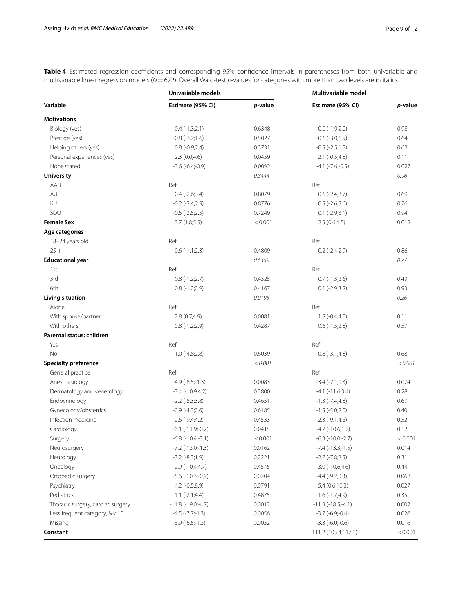<span id="page-8-0"></span>Table 4 Estimated regression coefficients and corresponding 95% confidence intervals in parentheses from both univariable and multivariable linear regression models (*N*=672). Overall Wald-test *p*-values for categories with more than two levels are in italics

|                                   | Univariable models          |         | Multivariable model          |         |
|-----------------------------------|-----------------------------|---------|------------------------------|---------|
| Variable                          | Estimate (95% CI)           | p-value | Estimate (95% CI)            | p-value |
| <b>Motivations</b>                |                             |         |                              |         |
| Biology (yes)                     | $0.4(-1.3;2.1)$             | 0.6348  | $0.0$ ( $-1.9;2.0$ )         | 0.98    |
| Prestige (yes)                    | $-0.8$ $(-3.2;1.6)$         | 0.5027  | $-0.6(-3.0;1.9)$             | 0.64    |
| Helping others (yes)              | $0.8(-0.9;2.4)$             | 0.3731  | $-0.5$ $(-2.5;1.5)$          | 0.62    |
| Personal experiences (yes)        | 2.3(0.0;4.6)                | 0.0459  | $2.1$ (-0.5;4.8)             | 0.11    |
| None stated                       | $-3.6(-6.4,-0.9)$           | 0.0092  | $-4.1$ $(-7.6,-0.5)$         | 0.027   |
| <b>University</b>                 |                             | 0.8444  |                              | 0.96    |
| AAU                               | Ref                         |         | Ref                          |         |
| AU                                | $0.4$ (-2.6;3.4)            | 0.8079  | $0.6$ (-2.4;3.7)             | 0.69    |
| KU                                | $-0.2$ $(-3.4;2.9)$         | 0.8776  | $0.5$ (-2.6;3.6)             | 0.76    |
| SDU                               | $-0.5$ $(-3.5;2.5)$         | 0.7249  | $0.1$ (-2.9;3.1)             | 0.94    |
| <b>Female Sex</b>                 | 3.7(1.8;5.5)                | < 0.001 | 2.5(0.6;4.5)                 | 0.012   |
| Age categories                    |                             |         |                              |         |
| 18-24 years old                   | Ref                         |         | Ref                          |         |
| $25 +$                            | $0.6(-1.1;2.3)$             | 0.4809  | $0.2$ (-2.4;2.9)             | 0.86    |
| <b>Educational year</b>           |                             | 0.6359  |                              | 0.77    |
| 1st                               | Ref                         |         | Ref                          |         |
| 3rd                               | $0.8(-1.2;2.7)$             | 0.4325  | $0.7$ (-1.3;2.6)             | 0.49    |
| 6th                               | $0.8(-1.2;2.9)$             | 0.4167  | $0.1$ (-2.9;3.2)             | 0.93    |
| <b>Living situation</b>           |                             | 0.0195  |                              | 0.26    |
| Alone                             | Ref                         |         | Ref                          |         |
| With spouse/partner               | 2.8 (0.7;4.9)               | 0.0081  | $1.8(-0.4;4.0)$              | 0.11    |
| With others                       | $0.8(-1.2;2.9)$             | 0.4287  | $0.6$ ( $-1.5;2.8$ )         | 0.57    |
| Parental status: children         |                             |         |                              |         |
| Yes                               | Ref                         |         | Ref                          |         |
| <b>No</b>                         | $-1.0$ ( $-4.8;2.8$ )       | 0.6039  | $0.8(-3.1;4.8)$              | 0.68    |
| <b>Specialty preference</b>       |                             | < 0.001 |                              | < 0.001 |
| General practice                  | Ref                         |         | Ref                          |         |
| Anesthesiology                    | $-4.9$ $(-8.5,-1.3)$        | 0.0083  | $-3.4$ $(-7.1;0.3)$          | 0.074   |
| Dermatology and venerology        | $-3.4$ $(-10.9;4.2)$        | 0.3800  | $-4.1$ $(-11.6;3.4)$         | 0.28    |
| Endocrinology                     | $-2.2$ $(-8.3;3.8)$         | 0.4651  | $-1.3$ $(-7.4;4.8)$          | 0.67    |
| Gynecology/obstetrics             | $-0.9$ $(-4.3;2.6)$         | 0.6185  | $-1.5$ ( $-5.0;2.0$ )        | 0.40    |
| Infection medicine                | $-2.6$ ( $-9.4;4.2$ )       | 0.4533  | $-2.3$ $(-9.1;4.6)$          | 0.52    |
| Cardiology                        | $-6.1$ $(-11.9,-0.2)$       | 0.0415  | $-4.7$ $(-10.6;1.2)$         | 0.12    |
| Surgery                           | $-6.8$ $(-10.4,-3.1)$       | < 0.001 | $-6.3$ $(-10.0,-2.7)$        | < 0.001 |
| Neurosurgery                      | $-7.2$ ( $-13.0$ ; $-1.3$ ) | 0.0162  | $-7.4$ $(-13.3,-1.5)$        | 0.014   |
| Neurology                         | $-3.2$ $(-8.3;1.9)$         | 0.2221  | $-2.7$ $(-7.8;2.5)$          | 0.31    |
| Oncology                          | $-2.9(-10.4;4.7)$           | 0.4545  | $-3.0$ $(-10.6;4.6)$         | 0.44    |
| Ortopedic surgery                 | $-5.6$ ( $-10.3$ ; $-0.9$ ) | 0.0204  | $-4.4$ $(-9.2;0.3)$          | 0.068   |
| Psychiatry                        | $4.2(-0.5;8.9)$             | 0.0791  | 5.4(0.6;10.2)                | 0.027   |
| Pediatrics                        | $1.1(-2.1;4.4)$             | 0.4875  | $1.6(-1.7;4.9)$              | 0.35    |
| Thoracic surgery, cardiac surgery | $-11.8(-19.0,-4.7)$         | 0.0012  | $-11.3$ ( $-18.5$ ; $-4.1$ ) | 0.002   |
| Less frequent category, $N < 10$  | $-4.5$ ( $-7.7$ ; $-1.3$ )  | 0.0056  | $-3.7$ $(-6.9,-0.4)$         | 0.026   |
| Missing                           | $-3.9$ $(-6.5,-1.3)$        | 0.0032  | $-3.3$ $(-6.0; -0.6)$        | 0.016   |
| Constant                          |                             |         | 111.2 (105.4;117.1)          | < 0.001 |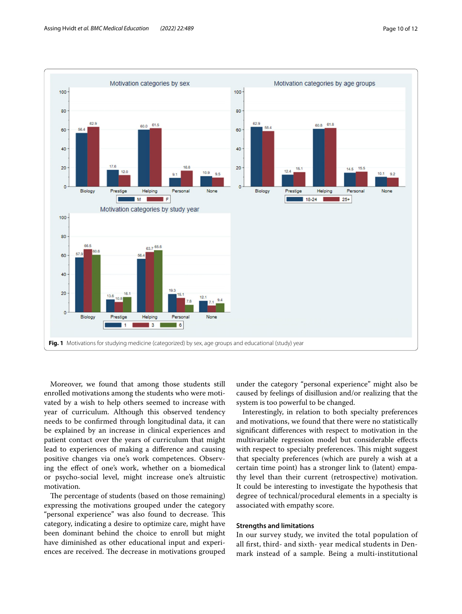

<span id="page-9-0"></span>Moreover, we found that among those students still enrolled motivations among the students who were motivated by a wish to help others seemed to increase with year of curriculum. Although this observed tendency needs to be confrmed through longitudinal data, it can be explained by an increase in clinical experiences and patient contact over the years of curriculum that might lead to experiences of making a diference and causing positive changes via one's work competences. Observing the efect of one's work, whether on a biomedical or psycho-social level, might increase one's altruistic motivation.

The percentage of students (based on those remaining) expressing the motivations grouped under the category "personal experience" was also found to decrease. This category, indicating a desire to optimize care, might have been dominant behind the choice to enroll but might have diminished as other educational input and experiences are received. The decrease in motivations grouped under the category "personal experience" might also be caused by feelings of disillusion and/or realizing that the system is too powerful to be changed.

Interestingly, in relation to both specialty preferences and motivations, we found that there were no statistically signifcant diferences with respect to motivation in the multivariable regression model but considerable efects with respect to specialty preferences. This might suggest that specialty preferences (which are purely a wish at a certain time point) has a stronger link to (latent) empathy level than their current (retrospective) motivation. It could be interesting to investigate the hypothesis that degree of technical/procedural elements in a specialty is associated with empathy score.

## **Strengths and limitations**

In our survey study, we invited the total population of all frst, third- and sixth- year medical students in Denmark instead of a sample. Being a multi-institutional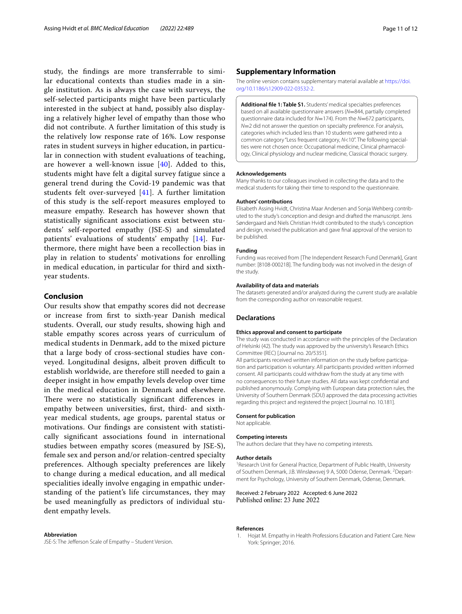study, the fndings are more transferrable to similar educational contexts than studies made in a single institution. As is always the case with surveys, the self-selected participants might have been particularly interested in the subject at hand, possibly also displaying a relatively higher level of empathy than those who did not contribute. A further limitation of this study is the relatively low response rate of 16%. Low response rates in student surveys in higher education, in particular in connection with student evaluations of teaching, are however a well-known issue  $[40]$ . Added to this, students might have felt a digital survey fatigue since a general trend during the Covid-19 pandemic was that students felt over-surveyed [[41\]](#page-11-33). A further limitation of this study is the self-report measures employed to measure empathy. Research has however shown that statistically signifcant associations exist between students' self-reported empathy (JSE-S) and simulated patients' evaluations of students' empathy [[14](#page-11-8)]. Furthermore, there might have been a recollection bias in play in relation to students' motivations for enrolling in medical education, in particular for third and sixthyear students.

## **Conclusion**

Our results show that empathy scores did not decrease or increase from frst to sixth-year Danish medical students. Overall, our study results, showing high and stable empathy scores across years of curriculum of medical students in Denmark, add to the mixed picture that a large body of cross-sectional studies have conveyed. Longitudinal designs, albeit proven difficult to establish worldwide, are therefore still needed to gain a deeper insight in how empathy levels develop over time in the medical education in Denmark and elsewhere. There were no statistically significant differences in empathy between universities, frst, third- and sixthyear medical students, age groups, parental status or motivations. Our fndings are consistent with statistically signifcant associations found in international studies between empathy scores (measured by JSE-S), female sex and person and/or relation-centred specialty preferences. Although specialty preferences are likely to change during a medical education, and all medical specialities ideally involve engaging in empathic understanding of the patient's life circumstances, they may be used meaningfully as predictors of individual student empathy levels.

#### **Abbreviation**

JSE-S: The Jefferson Scale of Empathy - Student Version.

## **Supplementary Information**

The online version contains supplementary material available at [https://doi.](https://doi.org/10.1186/s12909-022-03532-2) [org/10.1186/s12909-022-03532-2](https://doi.org/10.1186/s12909-022-03532-2).

**Additional fle 1: Table S1.** Students' medical specialties preferences based on all available questionnaire answers (*N*=844, partially completed questionnaire data included for *N*=174). From the *N*=672 participants, *N*=2 did not answer the question on specialty preference. For analysis, categories which included less than 10 students were gathered into a common category "Less frequent category, *N*<10". The following specialties were not chosen once: Occupational medicine, Clinical pharmacology, Clinical physiology and nuclear medicine, Classical thoracic surgery.

#### **Acknowledgements**

Many thanks to our colleagues involved in collecting the data and to the medical students for taking their time to respond to the questionnaire.

#### **Authors' contributions**

Elisabeth Assing Hvidt, Christina Maar Andersen and Sonja Wehberg contributed to the study's conception and design and drafted the manuscript. Jens Søndergaard and Niels Christian Hvidt contributed to the study's conception and design, revised the publication and gave fnal approval of the version to be published.

#### **Funding**

Funding was received from [The Independent Research Fund Denmark], Grant number: [8108-00021B]. The funding body was not involved in the design of the study.

#### **Availability of data and materials**

The datasets generated and/or analyzed during the current study are available from the corresponding author on reasonable request.

## **Declarations**

#### **Ethics approval and consent to participate**

The study was conducted in accordance with the principles of the Declaration of Helsinki (42). The study was approved by the university's Research Ethics Committee (REC) [Journal no. 20/5351].

All participants received written information on the study before participation and participation is voluntary. All participants provided written informed consent. All participants could withdraw from the study at any time with no consequences to their future studies. All data was kept confdential and published anonymously. Complying with European data protection rules, the University of Southern Denmark (SDU) approved the data processing activities regarding this project and registered the project [Journal no. 10.181].

#### **Consent for publication**

Not applicable.

#### **Competing interests**

The authors declare that they have no competing interests.

#### **Author details**

<sup>1</sup> Research Unit for General Practice, Department of Public Health, University of Southern Denmark, J.B. Winsløwsvej 9 A, 5000 Odense, Denmark. <sup>2</sup> Department for Psychology, University of Southern Denmark, Odense, Denmark.

## Received: 2 February 2022 Accepted: 6 June 2022 Published online: 23 June 2022

#### **References**

<span id="page-10-0"></span>1. Hojat M. Empathy in Health Professions Education and Patient Care. New York: Springer: 2016.